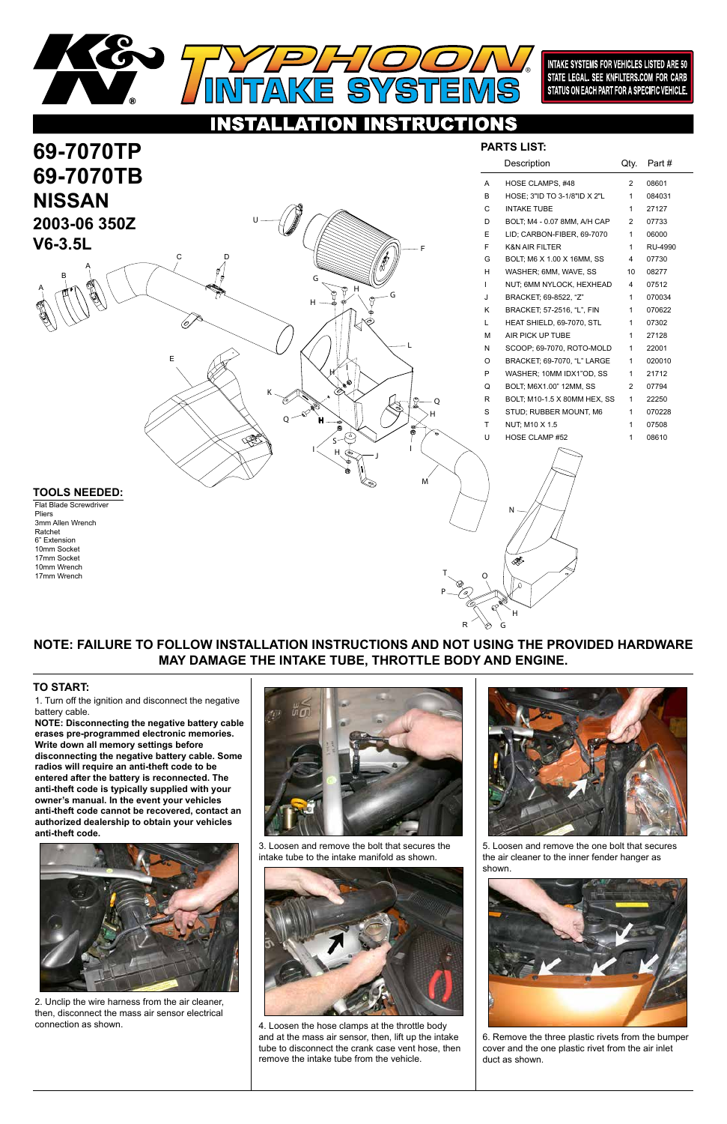

### NSTRUCTIONS TON

S

巨

**69-7070TP**

**69-7070TB**

1. Turn off the ignition and disconnect the negative battery cable.

**NOTE: Disconnecting the negative battery cable erases pre-programmed electronic memories. Write down all memory settings before disconnecting the negative battery cable. Some radios will require an anti-theft code to be entered after the battery is reconnected. The anti-theft code is typically supplied with your owner's manual. In the event your vehicles anti-theft code cannot be recovered, contact an authorized dealership to obtain your vehicles** 





### **anti-theft code.**



## **TO START:**

®

**NISSAN**

**2003-06 350Z**

**V6-3.5L**

## **NOTE: FAILURE TO FOLLOW INSTALLATION INSTRUCTIONS AND NOT USING THE PROVIDED HARDWARE MAY DAMAGE THE INTAKE TUBE, THROTTLE BODY AND ENGINE.**

S  $\mathsf{H} \searrow \mathsf{H}$ 

|                   |   | Description                  | Qty. | Part#   |
|-------------------|---|------------------------------|------|---------|
|                   | A | HOSE CLAMPS, #48             | 2    | 08601   |
|                   | B | HOSE; 3"ID TO 3-1/8"ID X 2"L | 1    | 084031  |
|                   | C | <b>INTAKE TUBE</b>           | 1    | 27127   |
|                   | D | BOLT; M4 - 0.07 8MM, A/H CAP | 2    | 07733   |
|                   | E | LID; CARBON-FIBER, 69-7070   | 1    | 06000   |
|                   | F | <b>K&amp;N AIR FILTER</b>    | 1    | RU-4990 |
|                   | G | BOLT: M6 X 1.00 X 16MM, SS   | 4    | 07730   |
|                   | н | WASHER; 6MM, WAVE, SS        | 10   | 08277   |
|                   | T | NUT; 6MM NYLOCK, HEXHEAD     | 4    | 07512   |
|                   | J | BRACKET: 69-8522, "Z"        | 1    | 070034  |
|                   | Κ | BRACKET; 57-2516, "L", FIN   | 1    | 070622  |
|                   | L | HEAT SHIELD, 69-7070, STL    | 1    | 07302   |
|                   | М | AIR PICK UP TUBE             | 1    | 27128   |
|                   | N | SCOOP: 69-7070, ROTO-MOLD    | 1    | 22001   |
|                   | O | BRACKET; 69-7070, "L" LARGE  | 1    | 020010  |
|                   | P | WASHER; 10MM IDX1"OD, SS     | 1    | 21712   |
|                   | Q | BOLT; M6X1.00" 12MM, SS      | 2    | 07794   |
| $\mathbb{S}$<br>O | R | BOLT; M10-1.5 X 80MM HEX, SS | 1    | 22250   |
| н                 | S | STUD; RUBBER MOUNT, M6       | 1    | 070228  |
| $\bullet$         | Τ | NUT; M10 X 1.5               | 1    | 07508   |
|                   | U | <b>HOSE CLAMP #52</b>        | 1    | 08610   |
|                   |   |                              |      |         |

## **PARTS LIST:**

## **TOOLS NEEDED:**

Flat Blade Screwdriver Pliers 3mm Allen Wrench Ratchet 6" Extension 10mm Socket 17mm Socket 10mm Wrench 17mm Wrench

E

R

C D

A

A

B

U

Δ

G

H

 $H^{k-1}$ 

H

 $Q \sim$  H

G

K

J

M

N

# T O P H

G

2. Unclip the wire harness from the air cleaner, then, disconnect the mass air sensor electrical connection as shown.

3. Loosen and remove the bolt that secures the intake tube to the intake manifold as shown.



4. Loosen the hose clamps at the throttle body and at the mass air sensor, then, lift up the intake tube to disconnect the crank case vent hose, then remove the intake tube from the vehicle.

5. Loosen and remove the one bolt that secures the air cleaner to the inner fender hanger as shown.



6. Remove the three plastic rivets from the bumper cover and the one plastic rivet from the air inlet duct as shown.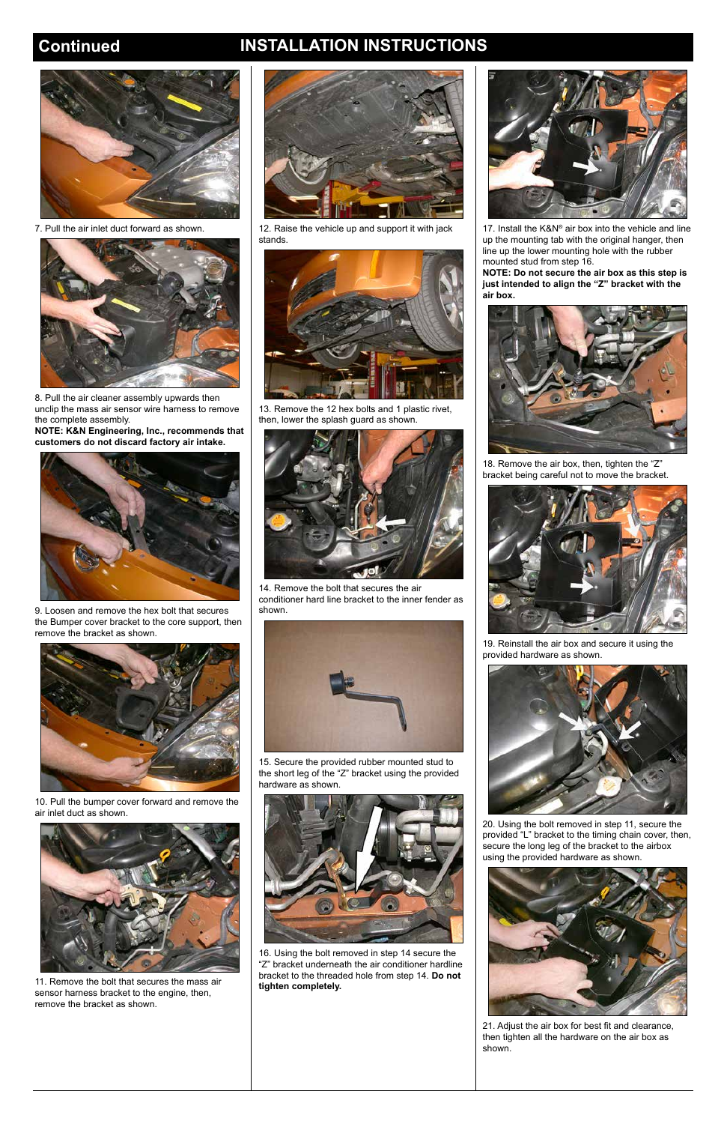## **Continued INSTALLATION INSTRUCTIONS**



7. Pull the air inlet duct forward as shown.



8. Pull the air cleaner assembly upwards then unclip the mass air sensor wire harness to remove the complete assembly.

**NOTE: K&N Engineering, Inc., recommends that customers do not discard factory air intake.**



9. Loosen and remove the hex bolt that secures the Bumper cover bracket to the core support, then remove the bracket as shown.



10. Pull the bumper cover forward and remove the air inlet duct as shown.

11. Remove the bolt that secures the mass air sensor harness bracket to the engine, then, remove the bracket as shown.



12. Raise the vehicle up and support it with jack stands.



17. Install the K&N® air box into the vehicle and line up the mounting tab with the original hanger, then line up the lower mounting hole with the rubber mounted stud from step 16.



13. Remove the 12 hex bolts and 1 plastic rivet, then, lower the splash guard as shown.



14. Remove the bolt that secures the air conditioner hard line bracket to the inner fender as shown.



15. Secure the provided rubber mounted stud to the short leg of the "Z" bracket using the provided hardware as shown.



16. Using the bolt removed in step 14 secure the "Z" bracket underneath the air conditioner hardline bracket to the threaded hole from step 14. **Do not tighten completely.**

**NOTE: Do not secure the air box as this step is just intended to align the "Z" bracket with the air box.**



18. Remove the air box, then, tighten the "Z" bracket being careful not to move the bracket.



19. Reinstall the air box and secure it using the provided hardware as shown.



the bolt removed in step 11, secu<mark></mark>



provided "L" bracket to the timing chain cover, then, secure the long leg of the bracket to the airbox using the provided hardware as shown.



21. Adjust the air box for best fit and clearance, then tighten all the hardware on the air box as shown.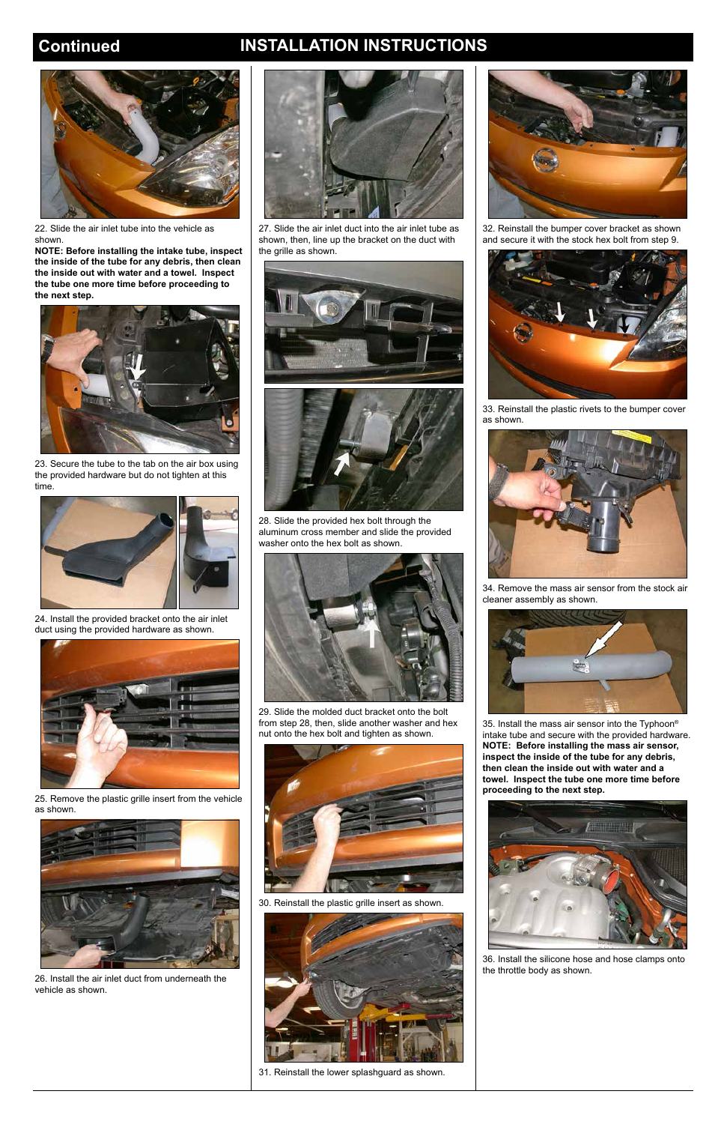## **Continued INSTALLATION INSTRUCTIONS**



22. Slide the air inlet tube into the vehicle as shown.

**NOTE: Before installing the intake tube, inspect the inside of the tube for any debris, then clean the inside out with water and a towel. Inspect the tube one more time before proceeding to the next step.**



23. Secure the tube to the tab on the air box using the provided hardware but do not tighten at this time.



24. Install the provided bracket onto the air inlet duct using the provided hardware as shown.



25. Remove the plastic grille insert from the vehicle as shown.



26. Install the air inlet duct from underneath the vehicle as shown.



27. Slide the air inlet duct into the air inlet tube as shown, then, line up the bracket on the duct with the grille as shown.





28. Slide the provided hex bolt through the aluminum cross member and slide the provided washer onto the hex bolt as shown.



29. Slide the molded duct bracket onto the bolt from step 28, then, slide another washer and hex nut onto the hex bolt and tighten as shown.



30. Reinstall the plastic grille insert as shown.



31. Reinstall the lower splashguard as shown.



32. Reinstall the bumper cover bracket as shown and secure it with the stock hex bolt from step 9.



33. Reinstall the plastic rivets to the bumper cover as shown.



34. Remove the mass air sensor from the stock air cleaner assembly as shown.



35. Install the mass air sensor into the Typhoon® intake tube and secure with the provided hardware. **NOTE: Before installing the mass air sensor, inspect the inside of the tube for any debris, then clean the inside out with water and a towel. Inspect the tube one more time before proceeding to the next step.**



36. Install the silicone hose and hose clamps onto the throttle body as shown.